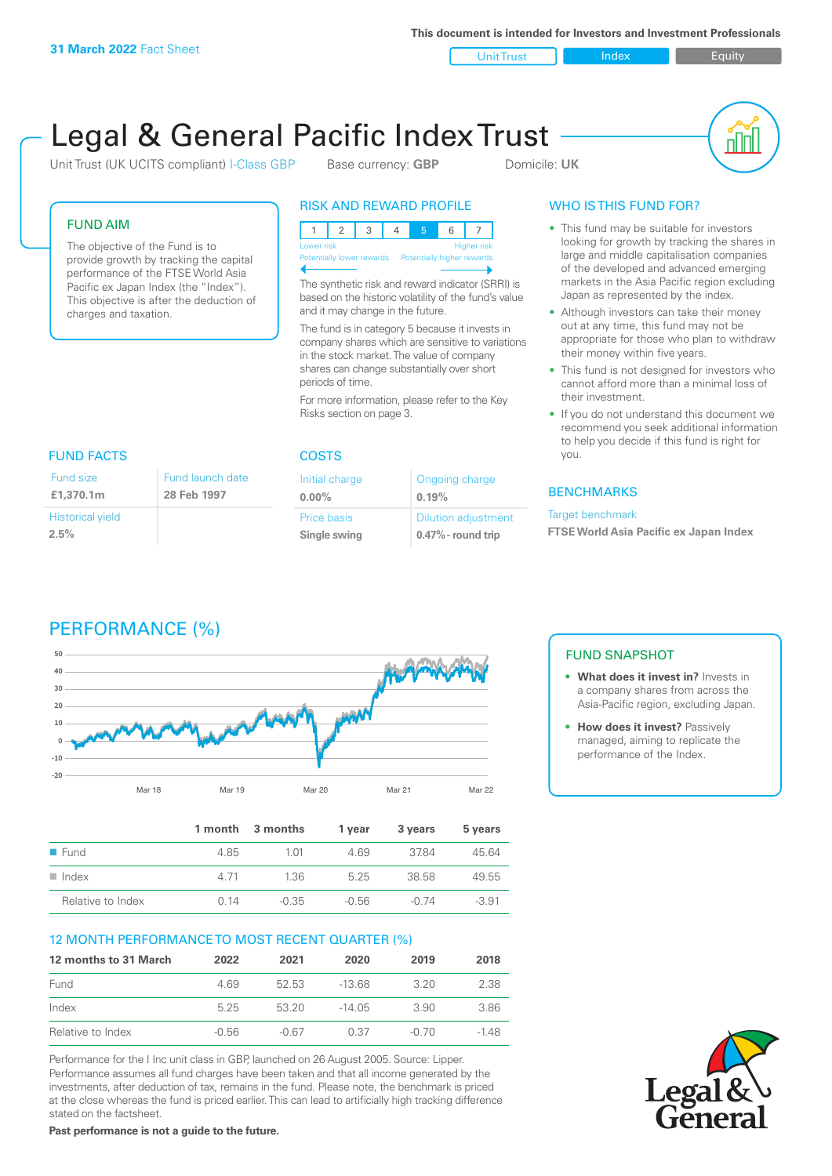**This document is intended for Investors and Investment Professionals**

Unit Trust Index Index Equity

# Legal & General Pacific Index Trust

Unit Trust (UK UCITS compliant) I-Class GBP Base currency: **GBP** Domicile: UK



#### FUND AIM

The objective of the Fund is to provide growth by tracking the capital performance of the FTSE World Asia Pacific ex Japan Index (the "Index"). This objective is after the deduction of charges and taxation.

#### RISK AND REWARD PROFILE

|                           | Higher risk<br>Lower risk |  |  |  |  |  |                            |
|---------------------------|---------------------------|--|--|--|--|--|----------------------------|
| Potentially lower rewards |                           |  |  |  |  |  | Potentially higher rewards |
|                           |                           |  |  |  |  |  |                            |

The synthetic risk and reward indicator (SRRI) is based on the historic volatility of the fund's value and it may change in the future.

The fund is in category 5 because it invests in company shares which are sensitive to variations in the stock market. The value of company shares can change substantially over short periods of time.

For more information, please refer to the Key Risks section on page 3.

| <b>FUND FACTS</b>                  |                                 |  |
|------------------------------------|---------------------------------|--|
| Fund size<br>£1,370.1m             | Fund launch date<br>28 Feb 1997 |  |
| <b>Historical yield</b><br>$2.5\%$ |                                 |  |

### COSTS

| Initial charge | Ongoing charge             |
|----------------|----------------------------|
| $0.00\%$       | 0.19%                      |
| Price basis    | <b>Dilution adjustment</b> |
| Single swing   | $0.47\%$ - round trip      |

#### WHO IS THIS FUND FOR?

- This fund may be suitable for investors looking for growth by tracking the shares in large and middle capitalisation companies of the developed and advanced emerging markets in the Asia Pacific region excluding Japan as represented by the index.
- Although investors can take their money out at any time, this fund may not be appropriate for those who plan to withdraw their money within five years.
- This fund is not designed for investors who cannot afford more than a minimal loss of their investment.
- If you do not understand this document we recommend you seek additional information to help you decide if this fund is right for you.

#### **BENCHMARKS**

#### Target benchmark

**FTSE World Asia Pacific ex Japan Index**

## PERFORMANCE (%)



|                      |      | 1 month 3 months | 1 vear | 3 years | 5 years |
|----------------------|------|------------------|--------|---------|---------|
| $\blacksquare$ Fund  | 4.85 | 1 M              | 469    | 3784    | 45.64   |
| $\blacksquare$ Index | 4.71 | 1.36             | 525    | 38.58   | 49.55   |
| Relative to Index    | O 14 | $-0.35$          | -0.56  | $-0.74$ | $-3.91$ |

#### 12 MONTH PERFORMANCE TO MOST RECENT QUARTER (%)

| 12 months to 31 March | 2022    | 2021  | 2020    | 2019  | 2018 |
|-----------------------|---------|-------|---------|-------|------|
| Fund                  | 469     | 52.53 | $-1368$ | 3.20  | 2.38 |
| Index                 | 525     | 53 20 | -14 05  | 3.90  | 3.86 |
| Relative to Index     | $-0.56$ | -0.67 | 0.37    | -0.70 | -148 |

Performance for the I Inc unit class in GBP, launched on 26 August 2005. Source: Lipper. Performance assumes all fund charges have been taken and that all income generated by the investments, after deduction of tax, remains in the fund. Please note, the benchmark is priced at the close whereas the fund is priced earlier. This can lead to artificially high tracking difference stated on the factsheet.

**Past performance is not a guide to the future.**

#### FUND SNAPSHOT

- **• What does it invest in?** Invests in a company shares from across the Asia-Pacific region, excluding Japan.
- **• How does it invest?** Passively managed, aiming to replicate the performance of the Index.

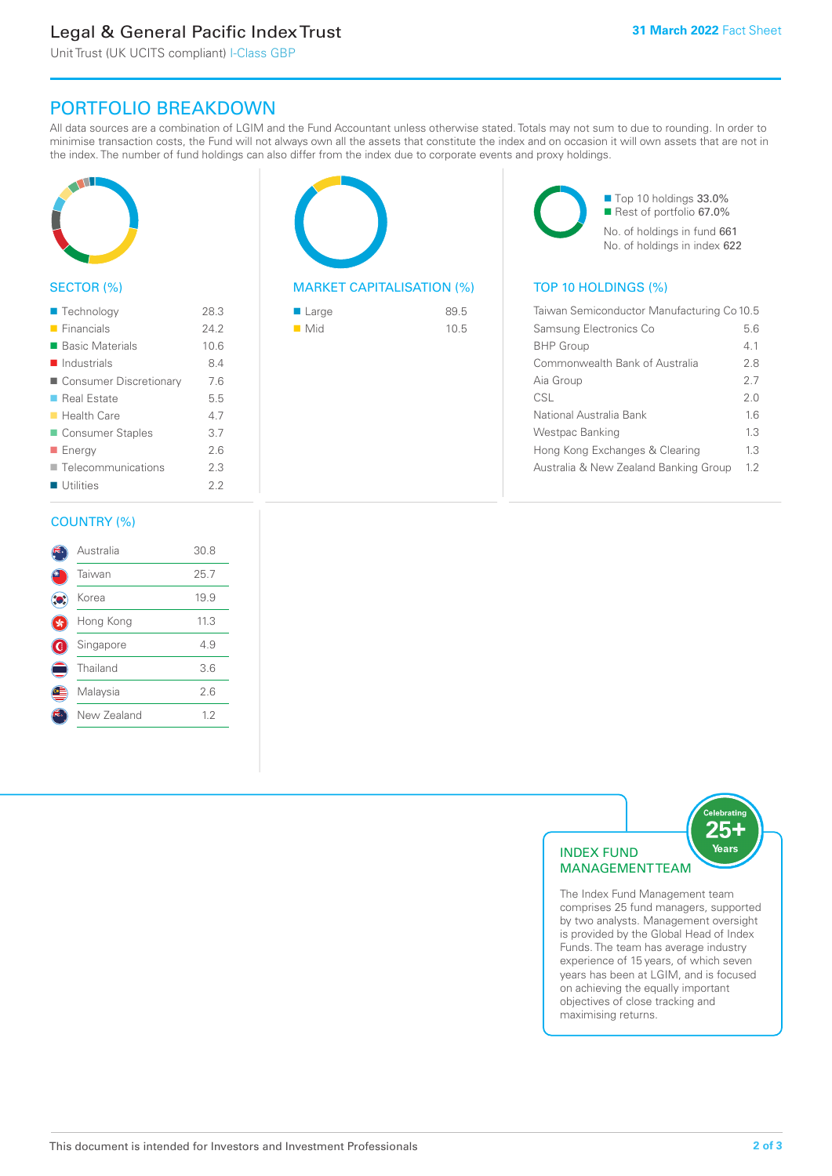### Legal & General Pacific Index Trust

Unit Trust (UK UCITS compliant) I-Class GBP

### PORTFOLIO BREAKDOWN

All data sources are a combination of LGIM and the Fund Accountant unless otherwise stated. Totals may not sum to due to rounding. In order to minimise transaction costs, the Fund will not always own all the assets that constitute the index and on occasion it will own assets that are not in the index. The number of fund holdings can also differ from the index due to corporate events and proxy holdings.



#### SECTOR (%)

| ■ Technology               | 28.3 |
|----------------------------|------|
| $\blacksquare$ Financials  | 24.2 |
| ■ Basic Materials          | 10.6 |
| $\blacksquare$ Industrials | 8.4  |
| ■ Consumer Discretionary   | 7.6  |
| ■ Real Estate              | 5.5  |
| ■ Health Care              | 4.7  |
| Consumer Staples           | 3.7  |
| ■ Energy                   | 2.6  |
| Telecommunications         | 2.3  |
| Utilities                  | 22   |
|                            |      |

#### COUNTRY (%)

|     | Australia   | 30.8 |  |
|-----|-------------|------|--|
|     | Taiwan      | 25.7 |  |
| ÎO. | Korea       | 19.9 |  |
|     | Hong Kong   | 11.3 |  |
| ۱   | Singapore   | 4.9  |  |
|     | Thailand    | 3.6  |  |
|     | Malaysia    | 2.6  |  |
|     | New Zealand | 1.2  |  |
|     |             |      |  |



#### MARKET CAPITALISATION (%) TOP 10 HOLDINGS (%)

| ■ Large            | 89.5 |
|--------------------|------|
| $\blacksquare$ Mid | 10.5 |

■ Top 10 holdings 33.0% ■ Rest of portfolio 67.0% No. of holdings in fund 661 No. of holdings in index 622

| Taiwan Semiconductor Manufacturing Co 10.5 |     |  |
|--------------------------------------------|-----|--|
| Samsung Electronics Co                     | 56  |  |
| <b>BHP Group</b>                           | 41  |  |
| Commonwealth Bank of Australia             | 28  |  |
| Aia Group                                  | 27  |  |
| CSL                                        | 20  |  |
| National Australia Bank                    | 16  |  |
| Westpac Banking                            | 13  |  |
| Hong Kong Exchanges & Clearing             | 1.3 |  |
| Australia & New Zealand Banking Group      | 12  |  |



The Index Fund Management team comprises 25 fund managers, supported by two analysts. Management oversight is provided by the Global Head of Index Funds. The team has average industry experience of 15 years, of which seven years has been at LGIM, and is focused on achieving the equally important objectives of close tracking and maximising returns.